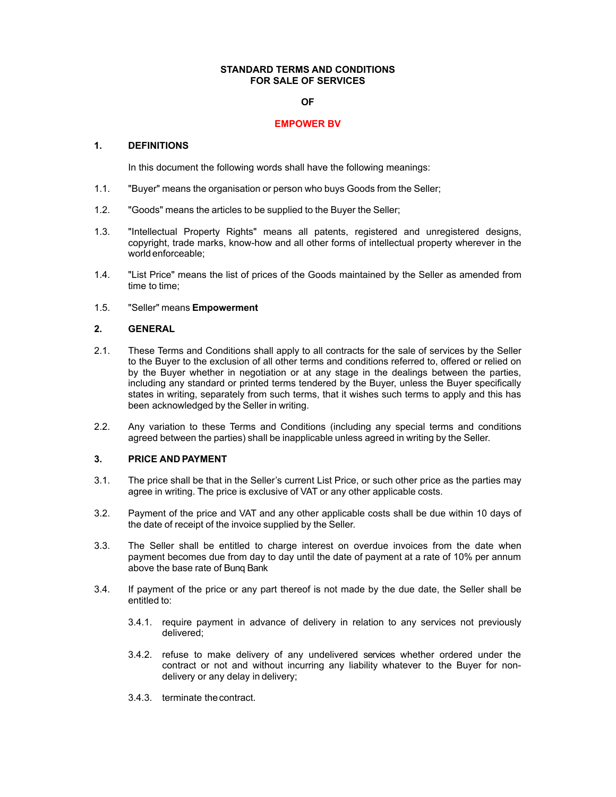### **STANDARD TERMS AND CONDITIONS FOR SALE OF SERVICES**

#### **OF**

#### **EMPOWER BV**

### **1. DEFINITIONS**

In this document the following words shall have the following meanings:

- 1.1. "Buyer" means the organisation or person who buys Goods from the Seller;
- 1.2. "Goods" means the articles to be supplied to the Buyer the Seller;
- 1.3. "Intellectual Property Rights" means all patents, registered and unregistered designs, copyright, trade marks, know-how and all other forms of intellectual property wherever in the world enforceable;
- 1.4. "List Price" means the list of prices of the Goods maintained by the Seller as amended from time to time;
- 1.5. "Seller" means **Empowerment**

## **2. GENERAL**

- 2.1. These Terms and Conditions shall apply to all contracts for the sale of services by the Seller to the Buyer to the exclusion of all other terms and conditions referred to, offered or relied on by the Buyer whether in negotiation or at any stage in the dealings between the parties, including any standard or printed terms tendered by the Buyer, unless the Buyer specifically states in writing, separately from such terms, that it wishes such terms to apply and this has been acknowledged by the Seller in writing.
- 2.2. Any variation to these Terms and Conditions (including any special terms and conditions agreed between the parties) shall be inapplicable unless agreed in writing by the Seller.

# **3. PRICE AND PAYMENT**

- 3.1. The price shall be that in the Seller's current List Price, or such other price as the parties may agree in writing. The price is exclusive of VAT or any other applicable costs.
- 3.2. Payment of the price and VAT and any other applicable costs shall be due within 10 days of the date of receipt of the invoice supplied by the Seller.
- 3.3. The Seller shall be entitled to charge interest on overdue invoices from the date when payment becomes due from day to day until the date of payment at a rate of 10% per annum above the base rate of Bunq Bank
- 3.4. If payment of the price or any part thereof is not made by the due date, the Seller shall be entitled to:
	- 3.4.1. require payment in advance of delivery in relation to any services not previously delivered;
	- 3.4.2. refuse to make delivery of any undelivered services whether ordered under the contract or not and without incurring any liability whatever to the Buyer for nondelivery or any delay in delivery;
	- 3.4.3. terminate thecontract.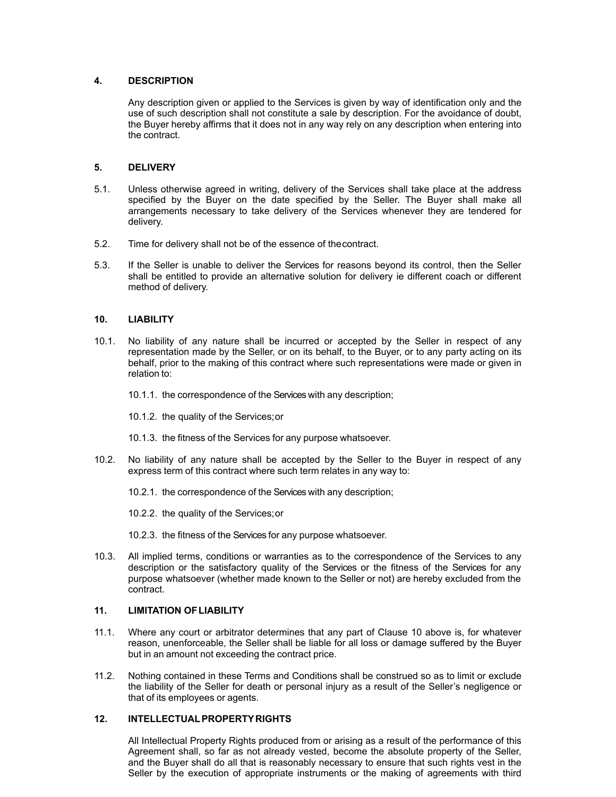## **4. DESCRIPTION**

Any description given or applied to the Services is given by way of identification only and the use of such description shall not constitute a sale by description. For the avoidance of doubt, the Buyer hereby affirms that it does not in any way rely on any description when entering into the contract.

### **5. DELIVERY**

- 5.1. Unless otherwise agreed in writing, delivery of the Services shall take place at the address specified by the Buyer on the date specified by the Seller. The Buyer shall make all arrangements necessary to take delivery of the Services whenever they are tendered for delivery.
- 5.2. Time for delivery shall not be of the essence of thecontract.
- 5.3. If the Seller is unable to deliver the Services for reasons beyond its control, then the Seller shall be entitled to provide an alternative solution for delivery ie different coach or different method of delivery.

### **10. LIABILITY**

- 10.1. No liability of any nature shall be incurred or accepted by the Seller in respect of any representation made by the Seller, or on its behalf, to the Buyer, or to any party acting on its behalf, prior to the making of this contract where such representations were made or given in relation to:
	- 10.1.1. the correspondence of the Services with any description;
	- 10.1.2. the quality of the Services;or
	- 10.1.3. the fitness of the Services for any purpose whatsoever.
- 10.2. No liability of any nature shall be accepted by the Seller to the Buyer in respect of any express term of this contract where such term relates in any way to:
	- 10.2.1. the correspondence of the Services with any description;
	- 10.2.2. the quality of the Services;or
	- 10.2.3. the fitness of the Services for any purpose whatsoever.
- 10.3. All implied terms, conditions or warranties as to the correspondence of the Services to any description or the satisfactory quality of the Services or the fitness of the Services for any purpose whatsoever (whether made known to the Seller or not) are hereby excluded from the contract.

# **11. LIMITATION OFLIABILITY**

- 11.1. Where any court or arbitrator determines that any part of Clause 10 above is, for whatever reason, unenforceable, the Seller shall be liable for all loss or damage suffered by the Buyer but in an amount not exceeding the contract price.
- 11.2. Nothing contained in these Terms and Conditions shall be construed so as to limit or exclude the liability of the Seller for death or personal injury as a result of the Seller's negligence or that of its employees or agents.

# **12. INTELLECTUALPROPERTYRIGHTS**

All Intellectual Property Rights produced from or arising as a result of the performance of this Agreement shall, so far as not already vested, become the absolute property of the Seller, and the Buyer shall do all that is reasonably necessary to ensure that such rights vest in the Seller by the execution of appropriate instruments or the making of agreements with third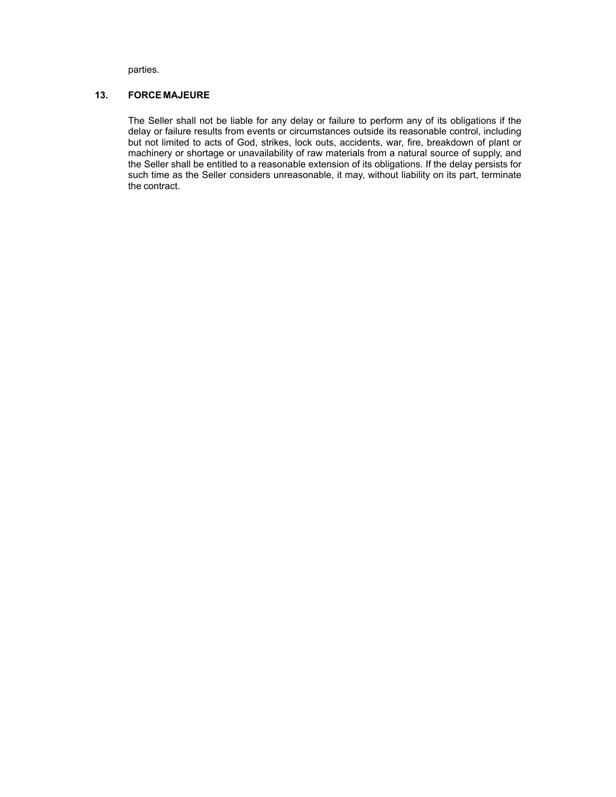parties.

# **13. FORCE MAJEURE**

The Seller shall not be liable for any delay or failure to perform any of its obligations if the delay or failure results from events or circumstances outside its reasonable control, including but not limited to acts of God, strikes, lock outs, accidents, war, fire, breakdown of plant or machinery or shortage or unavailability of raw materials from a natural source of supply, and the Seller shall be entitled to a reasonable extension of its obligations. If the delay persists for such time as the Seller considers unreasonable, it may, without liability on its part, terminate the contract.